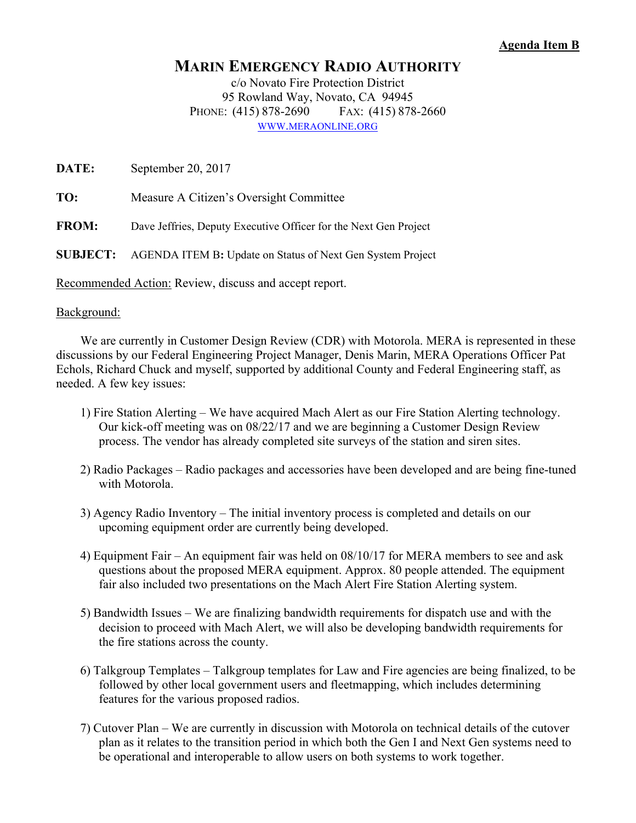## **Agenda Item B**

## **MARIN EMERGENCY RADIO AUTHORITY**

c/o Novato Fire Protection District 95 Rowland Way, Novato, CA 94945 PHONE: (415) 878-2690 FAX: (415) 878-2660 WWW.MERAONLINE.ORG

**DATE:** September 20, 2017

**TO:** Measure A Citizen's Oversight Committee

**FROM:** Dave Jeffries, Deputy Executive Officer for the Next Gen Project

**SUBJECT:** AGENDA ITEM B**:** Update on Status of Next Gen System Project

Recommended Action: Review, discuss and accept report.

## Background:

 We are currently in Customer Design Review (CDR) with Motorola. MERA is represented in these discussions by our Federal Engineering Project Manager, Denis Marin, MERA Operations Officer Pat Echols, Richard Chuck and myself, supported by additional County and Federal Engineering staff, as needed. A few key issues:

- 1) Fire Station Alerting We have acquired Mach Alert as our Fire Station Alerting technology. Our kick-off meeting was on 08/22/17 and we are beginning a Customer Design Review process. The vendor has already completed site surveys of the station and siren sites.
- 2) Radio Packages Radio packages and accessories have been developed and are being fine-tuned with Motorola.
- 3) Agency Radio Inventory The initial inventory process is completed and details on our upcoming equipment order are currently being developed.
- 4) Equipment Fair An equipment fair was held on 08/10/17 for MERA members to see and ask questions about the proposed MERA equipment. Approx. 80 people attended. The equipment fair also included two presentations on the Mach Alert Fire Station Alerting system.
- 5) Bandwidth Issues We are finalizing bandwidth requirements for dispatch use and with the decision to proceed with Mach Alert, we will also be developing bandwidth requirements for the fire stations across the county.
- 6) Talkgroup Templates Talkgroup templates for Law and Fire agencies are being finalized, to be followed by other local government users and fleetmapping, which includes determining features for the various proposed radios.
- 7) Cutover Plan We are currently in discussion with Motorola on technical details of the cutover plan as it relates to the transition period in which both the Gen I and Next Gen systems need to be operational and interoperable to allow users on both systems to work together.